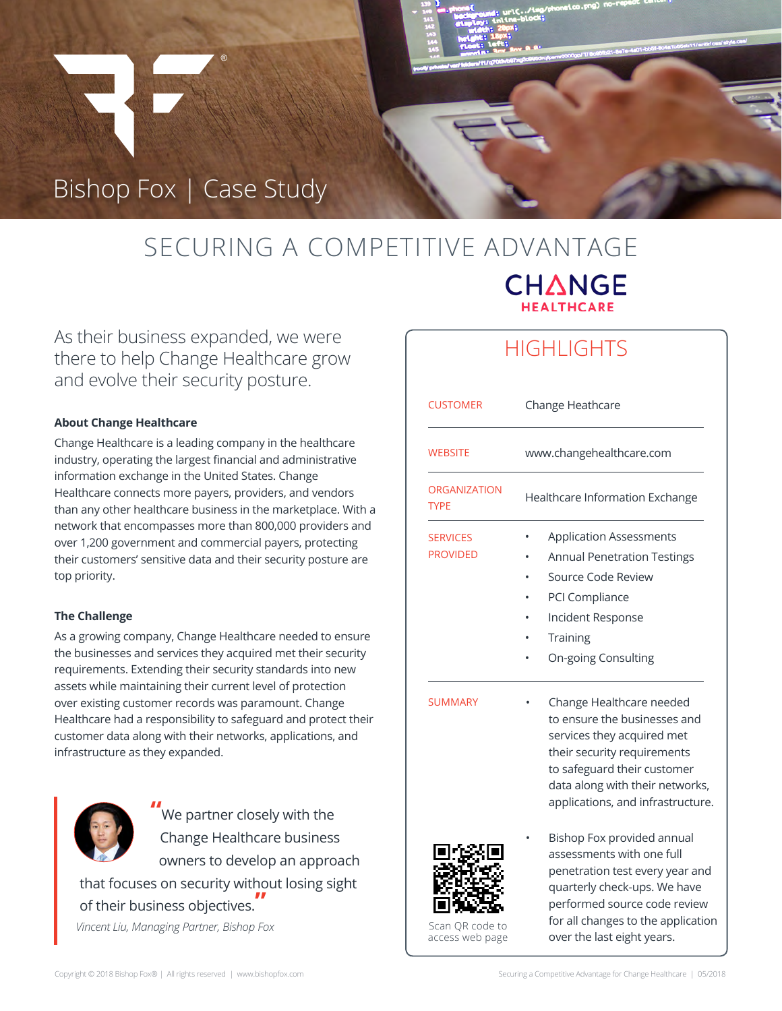# Bishop Fox | Case Study

# SECURING A COMPETITIVE ADVANTAGE **CHANGE**

As their business expanded, we were there to help Change Healthcare grow and evolve their security posture.

### **About Change Healthcare**

Change Healthcare is a leading company in the healthcare industry, operating the largest financial and administrative information exchange in the United States. Change Healthcare connects more payers, providers, and vendors than any other healthcare business in the marketplace. With a network that encompasses more than 800,000 providers and over 1,200 government and commercial payers, protecting their customers' sensitive data and their security posture are top priority.

### **The Challenge**

As a growing company, Change Healthcare needed to ensure the businesses and services they acquired met their security requirements. Extending their security standards into new assets while maintaining their current level of protection over existing customer records was paramount. Change Healthcare had a responsibility to safeguard and protect their customer data along with their networks, applications, and infrastructure as they expanded.



We partner closely with the Change Healthcare business owners to develop an approach

that focuses on security without losing sight of their business objectives. **"** *Vincent Liu, Managing Partner, Bishop Fox*

### **HIGHLIGHTS**

| <b>CUSTOMER</b>                    | Change Heathcare                                                                                                                                                                                                               |
|------------------------------------|--------------------------------------------------------------------------------------------------------------------------------------------------------------------------------------------------------------------------------|
| <b>WEBSITE</b>                     | www.changehealthcare.com                                                                                                                                                                                                       |
| <b>ORGANIZATION</b><br><b>TYPE</b> | Healthcare Information Exchange                                                                                                                                                                                                |
| <b>SERVICES</b><br><b>PROVIDED</b> | <b>Application Assessments</b><br><b>Annual Penetration Testings</b><br>Source Code Review<br>PCI Compliance<br>Incident Response<br><b>Training</b><br>On-going Consulting                                                    |
| <b>SUMMARY</b>                     | Change Healthcare needed<br>to ensure the businesses and<br>services they acquired met<br>their security requirements<br>to safeguard their customer<br>data along with their networks,<br>applications, and infrastructure.   |
| Scan QR code to<br>access web page | Bishop Fox provided annual<br>assessments with one full<br>penetration test every year and<br>quarterly check-ups. We have<br>performed source code review<br>for all changes to the application<br>over the last eight years. |